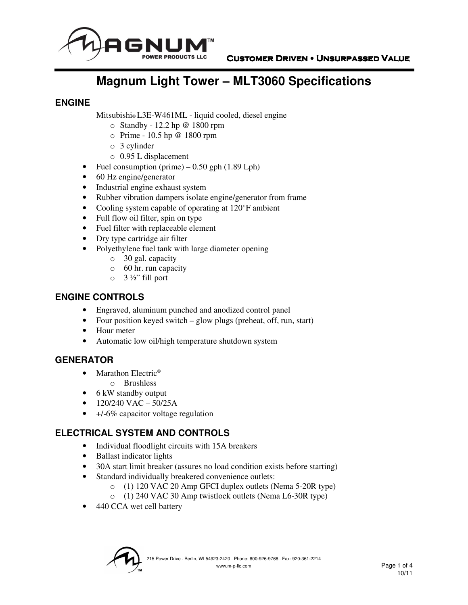

# **Magnum Light Tower – MLT3060 Specifications**

#### **ENGINE**

Mitsubishi® L3E-W461ML - liquid cooled, diesel engine

- o Standby 12.2 hp @ 1800 rpm
- o Prime 10.5 hp @ 1800 rpm
- o 3 cylinder
- o 0.95 L displacement
- Fuel consumption (prime)  $-0.50$  gph (1.89 Lph)
- 60 Hz engine/generator
- Industrial engine exhaust system
- Rubber vibration dampers isolate engine/generator from frame
- Cooling system capable of operating at 120°F ambient
- Full flow oil filter, spin on type
- Fuel filter with replaceable element
- Dry type cartridge air filter
- Polyethylene fuel tank with large diameter opening
	- o 30 gal. capacity
	- o 60 hr. run capacity
	- $\circ$  3 ½" fill port

#### **ENGINE CONTROLS**

- Engraved, aluminum punched and anodized control panel
- Four position keyed switch glow plugs (preheat, off, run, start)
- Hour meter
- Automatic low oil/high temperature shutdown system

#### **GENERATOR**

- Marathon Electric<sup>®</sup>
	- o Brushless
- 6 kW standby output
- $120/240$  VAC  $50/25A$
- $\bullet$  +/-6% capacitor voltage regulation

## **ELECTRICAL SYSTEM AND CONTROLS**

- Individual floodlight circuits with 15A breakers
- Ballast indicator lights
- 30A start limit breaker (assures no load condition exists before starting)
- Standard individually breakered convenience outlets:
	- o (1) 120 VAC 20 Amp GFCI duplex outlets (Nema 5-20R type)
	- o (1) 240 VAC 30 Amp twistlock outlets (Nema L6-30R type)
- 440 CCA wet cell battery

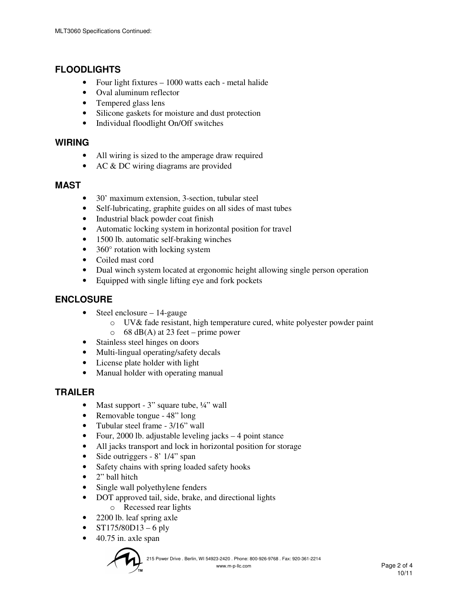## **FLOODLIGHTS**

- Four light fixtures 1000 watts each metal halide
- Oval aluminum reflector
- Tempered glass lens
- Silicone gaskets for moisture and dust protection
- Individual floodlight On/Off switches

#### **WIRING**

- All wiring is sized to the amperage draw required
- AC & DC wiring diagrams are provided

#### **MAST**

- 30' maximum extension, 3-section, tubular steel
- Self-lubricating, graphite guides on all sides of mast tubes
- Industrial black powder coat finish
- Automatic locking system in horizontal position for travel
- 1500 lb. automatic self-braking winches
- 360° rotation with locking system
- Coiled mast cord
- Dual winch system located at ergonomic height allowing single person operation
- Equipped with single lifting eye and fork pockets

#### **ENCLOSURE**

- Steel enclosure  $-14$ -gauge
	- o UV& fade resistant, high temperature cured, white polyester powder paint  $\circ$  68 dB(A) at 23 feet – prime power
- Stainless steel hinges on doors
- Multi-lingual operating/safety decals
- License plate holder with light
- Manual holder with operating manual

#### **TRAILER**

- Mast support 3" square tube,  $\frac{1}{4}$ " wall
- Removable tongue 48" long
- Tubular steel frame 3/16" wall
- Four, 2000 lb. adjustable leveling jacks 4 point stance
- All jacks transport and lock in horizontal position for storage
- Side outriggers 8' 1/4" span
- Safety chains with spring loaded safety hooks
- 2" ball hitch
- Single wall polyethylene fenders
- DOT approved tail, side, brake, and directional lights o Recessed rear lights
- 2200 lb. leaf spring axle
- $ST175/80D13 6$  ply
- $\bullet$  40.75 in. axle span

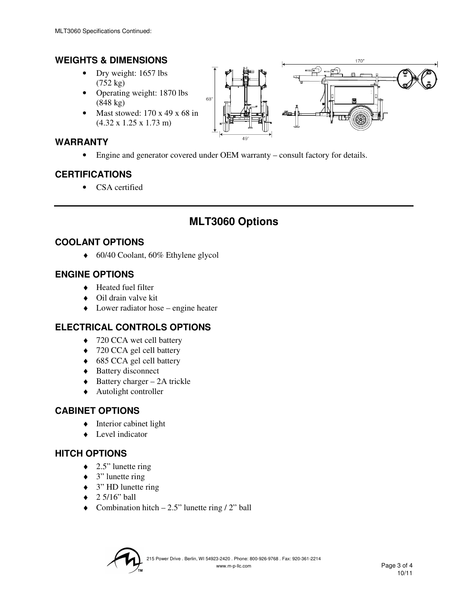## **WEIGHTS & DIMENSIONS**

- Dry weight: 1657 lbs (752 kg)
- Operating weight: 1870 lbs (848 kg)
- Mast stowed:  $170 \times 49 \times 68$  in (4.32 x 1.25 x 1.73 m)

## **WARRANTY**

• Engine and generator covered under OEM warranty – consult factory for details.

## **CERTIFICATIONS**

• CSA certified

## **MLT3060 Options**

## **COOLANT OPTIONS**

♦ 60/40 Coolant, 60% Ethylene glycol

#### **ENGINE OPTIONS**

- ♦ Heated fuel filter
- ♦ Oil drain valve kit
- $\triangle$  Lower radiator hose engine heater

## **ELECTRICAL CONTROLS OPTIONS**

- ♦ 720 CCA wet cell battery
- ♦ 720 CCA gel cell battery
- ♦ 685 CCA gel cell battery
- ◆ Battery disconnect
- $\triangleleft$  Battery charger 2A trickle
- $\triangle$  Autolight controller

#### **CABINET OPTIONS**

- ♦ Interior cabinet light
- ♦ Level indicator

#### **HITCH OPTIONS**

- $\triangleleft$  2.5" lunette ring
- $\bullet$  3" lunette ring
- ♦ 3" HD lunette ring
- $\triangleleft$  2 5/16" ball
- $\bullet$  Combination hitch  $-2.5$ " lunette ring / 2" ball